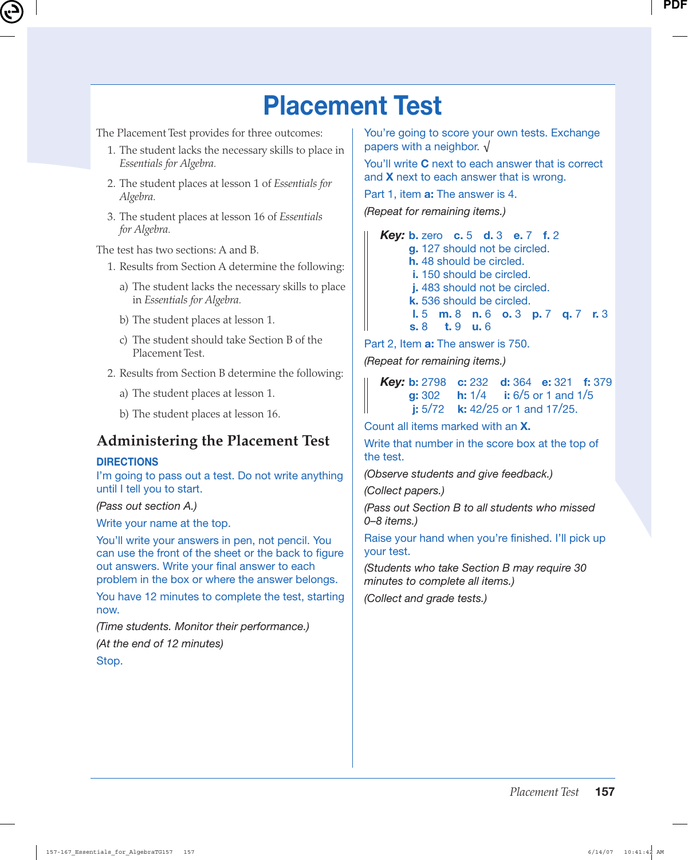# **Placement Test**

The Placement Test provides for three outcomes:

- 1. The student lacks the necessary skills to place in *Essentials for Algebra.*
- 2. The student places at lesson 1 of *Essentials for Algebra.*
- 3. The student places at lesson 16 of *Essentials for Algebra.*

The test has two sections: A and B.

- 1. Results from Section A determine the following:
	- a) The student lacks the necessary skills to place in *Essentials for Algebra.*
	- b) The student places at lesson 1.
	- c) The student should take Section B of the Placement Test.
- 2. Results from Section B determine the following:
	- a) The student places at lesson 1.
	- b) The student places at lesson 16.

### **Administering the Placement Test**

#### **DIRECTIONS**

I'm going to pass out a test. Do not write anything until I tell you to start.

(Pass out section A.)

Write your name at the top.

You'll write your answers in pen, not pencil. You can use the front of the sheet or the back to figure out answers. Write your final answer to each problem in the box or where the answer belongs.

You have 12 minutes to complete the test, starting now.

(Time students. Monitor their performance.) (At the end of 12 minutes) Stop.

You're going to score your own tests. Exchange papers with a neighbor. √

You'll write **C** next to each answer that is correct and **X** next to each answer that is wrong.

Part 1, item **a:** The answer is 4.

(Repeat for remaining items.)

 *Key:* **b.** zero **c.** 5 **d.** 3 **e.** 7 **f.** 2 **g.** 127 should not be circled. **h.** 48 should be circled. **i.** 150 should be circled. **j.** 483 should not be circled. **k.** 536 should be circled. **l.** 5 **m.** 8 **n.** 6 **o.** 3 **p.** 7 **q.** 7 **r.** 3 **s.** 8 **t.** 9 **u.** 6

Part 2, Item **a:** The answer is 750.

(Repeat for remaining items.)

|  |                                      | <b>Key:</b> b: 2798 c: 232 d: 364 e: 321 f: 379<br><b>g:</b> 302 h: 1/4 i: 6/5 or 1 and 1/5<br><b>j:</b> 5/72 k: 42/25 or 1 and 17/25. |  |  |  |  |
|--|--------------------------------------|----------------------------------------------------------------------------------------------------------------------------------------|--|--|--|--|
|  | i: $5/72$ k: $42/25$ or 1 and 17/25. |                                                                                                                                        |  |  |  |  |

Count all items marked with an **X.**

Write that number in the score box at the top of the test.

(Observe students and give feedback.)

(Collect papers.)

(Pass out Section B to all students who missed 0–8 items.)

Raise your hand when you're finished. I'll pick up your test.

(Students who take Section B may require 30 minutes to complete all items.)

(Collect and grade tests.)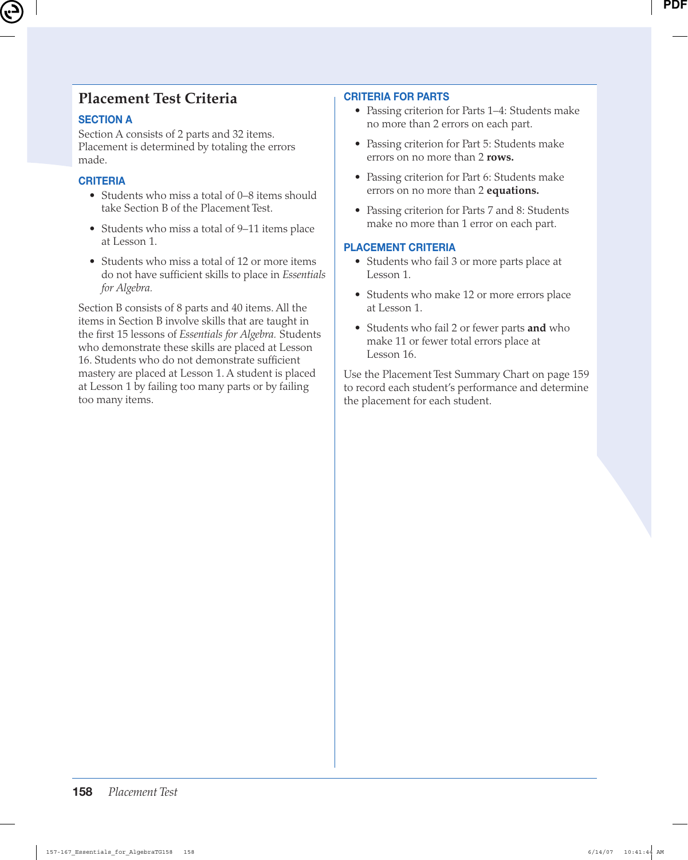### **Placement Test Criteria**

#### **SECTION A**

Section A consists of 2 parts and 32 items. Placement is determined by totaling the errors made.

#### **CRITERIA**

- Students who miss a total of 0–8 items should take Section B of the Placement Test.
- Students who miss a total of 9–11 items place at Lesson 1.
- Students who miss a total of 12 or more items do not have sufficient skills to place in *Essentials for Algebra.*

Section B consists of 8 parts and 40 items. All the items in Section B involve skills that are taught in the first 15 lessons of *Essentials for Algebra.* Students who demonstrate these skills are placed at Lesson 16. Students who do not demonstrate sufficient mastery are placed at Lesson 1. A student is placed at Lesson 1 by failing too many parts or by failing too many items.

#### **CRITERIA FOR PARTS**

- Passing criterion for Parts 1–4: Students make no more than 2 errors on each part.
- Passing criterion for Part 5: Students make errors on no more than 2 **rows.**
- Passing criterion for Part 6: Students make errors on no more than 2 **equations.**
- Passing criterion for Parts 7 and 8: Students make no more than 1 error on each part.

#### **PLACEMENT CRITERIA**

- Students who fail 3 or more parts place at Lesson 1.
- Students who make 12 or more errors place at Lesson 1.
- Students who fail 2 or fewer parts **and** who make 11 or fewer total errors place at Lesson 16.

Use the Placement Test Summary Chart on page 159 to record each student's performance and determine the placement for each student.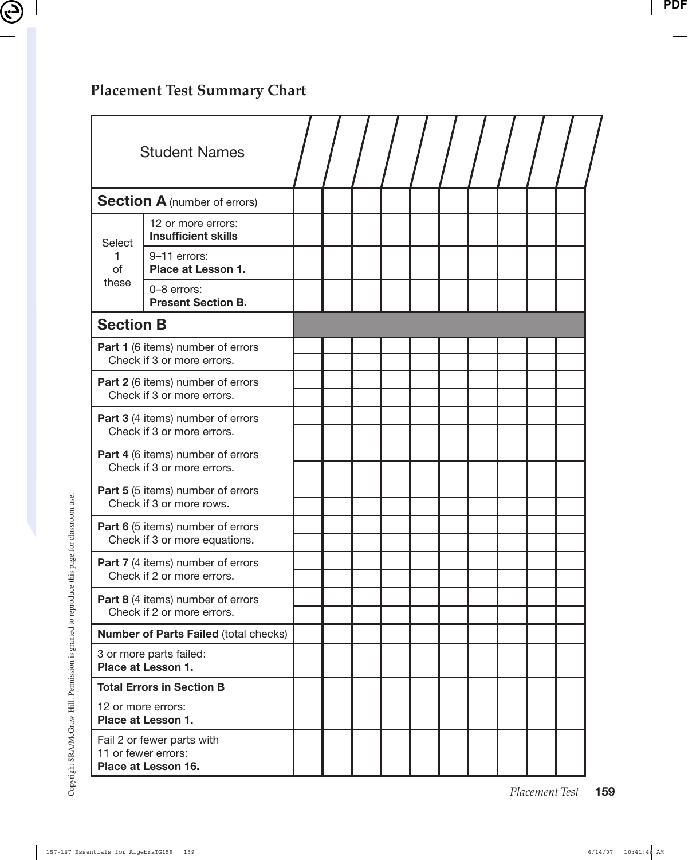## **Placement Test Summary Chart**

|                                                                          | <b>Student Names</b>                             |  |  |  |  |  |  |
|--------------------------------------------------------------------------|--------------------------------------------------|--|--|--|--|--|--|
| <b>Section A (number of errors)</b>                                      |                                                  |  |  |  |  |  |  |
| Select                                                                   | 12 or more errors:<br><b>Insufficient skills</b> |  |  |  |  |  |  |
| of                                                                       | 9-11 errors:<br>Place at Lesson 1.               |  |  |  |  |  |  |
| these                                                                    | 0-8 errors:<br><b>Present Section B.</b>         |  |  |  |  |  |  |
| <b>Section B</b>                                                         |                                                  |  |  |  |  |  |  |
| Part 1 (6 items) number of errors<br>Check if 3 or more errors.          |                                                  |  |  |  |  |  |  |
| <b>Part 2</b> (6 items) number of errors<br>Check if 3 or more errors.   |                                                  |  |  |  |  |  |  |
| <b>Part 3</b> (4 items) number of errors<br>Check if 3 or more errors.   |                                                  |  |  |  |  |  |  |
| Part 4 (6 items) number of errors<br>Check if 3 or more errors.          |                                                  |  |  |  |  |  |  |
| Part 5 (5 items) number of errors<br>Check if 3 or more rows.            |                                                  |  |  |  |  |  |  |
| Part 6 (5 items) number of errors<br>Check if 3 or more equations.       |                                                  |  |  |  |  |  |  |
| Part 7 (4 items) number of errors<br>Check if 2 or more errors.          |                                                  |  |  |  |  |  |  |
| Part 8 (4 items) number of errors<br>Check if 2 or more errors.          |                                                  |  |  |  |  |  |  |
| <b>Number of Parts Failed (total checks)</b>                             |                                                  |  |  |  |  |  |  |
| 3 or more parts failed:<br>Place at Lesson 1.                            |                                                  |  |  |  |  |  |  |
| <b>Total Errors in Section B</b>                                         |                                                  |  |  |  |  |  |  |
| 12 or more errors:<br>Place at Lesson 1.                                 |                                                  |  |  |  |  |  |  |
| Fail 2 or fewer parts with<br>11 or fewer errors:<br>Place at Lesson 16. |                                                  |  |  |  |  |  |  |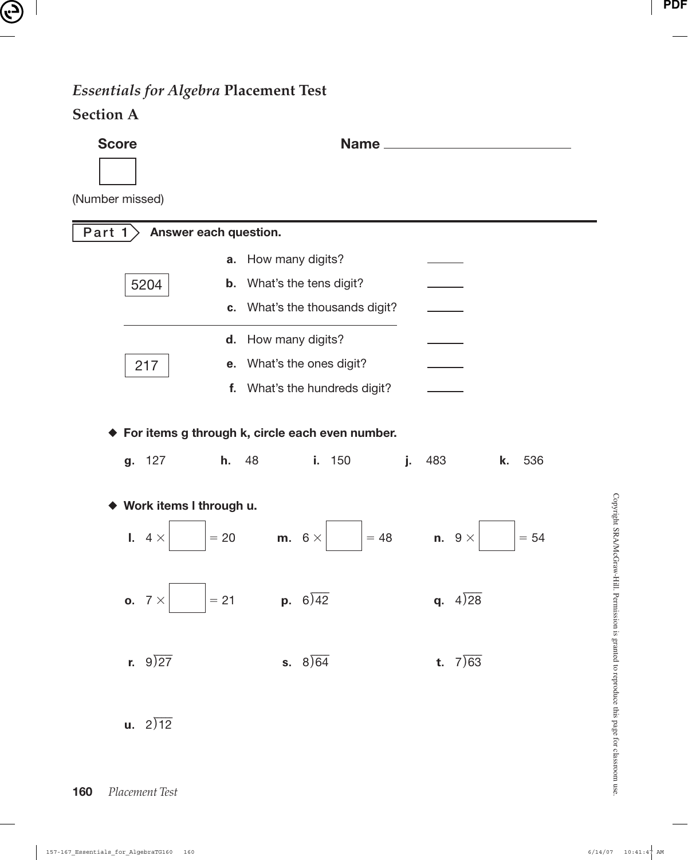### *Essentials for Algebra* **Placement Test**

#### **Section A**

**Score** Name **Name** (Number missed) **Part 1 Answer each question. a.** How many digits? 5204 **b.** What's the tens digit? **c.** What's the thousands digit? **d.** How many digits? 217 **e.** What's the ones digit? **f.** What's the hundreds digit? ◆ **For items g through k, circle each even number. g.** 127 **h.** 48 **i.** 150 **j.** 483 **k.** 536 ◆ **Work items l through u. l.**  $4 \times$  $= 20$  **m.**  $6 \times$  $= 48$ n.  $9 \times$  $= 54$ **o.**  $7 \times$  $= 21$  **p.**  $6\sqrt{42}$ .<br>ر 42 **q.** 4 28 .<br>ر **r.**  $9\sqrt{27}$ ا<br>ر **s.**  $8\sqrt{64}$ .<br>ر 64 **t.** 7 63 - $\mathbf{u}$ . 2)12 ا<br>ر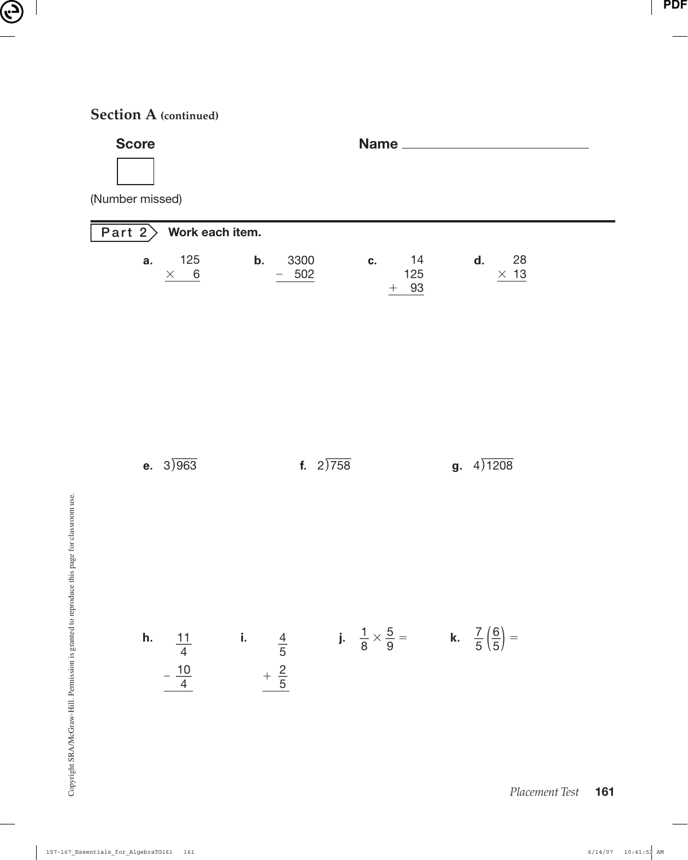### **Section A (continued)**

| <b>Score</b><br>(Number missed)           | Name_                                                                                                                                                                   |                         |
|-------------------------------------------|-------------------------------------------------------------------------------------------------------------------------------------------------------------------------|-------------------------|
| Work each item.<br>Part $2$               |                                                                                                                                                                         |                         |
| 125<br>a.<br>$\times$<br>$6 \overline{6}$ | 3300<br>14<br>b.<br>C.<br>125<br>502<br>$+$ 93                                                                                                                          | 28<br>d.<br>$\times$ 13 |
| e. $3)963$                                | f. $2)758$                                                                                                                                                              | <b>g.</b> $4)1208$      |
|                                           | <b>h.</b> $\frac{11}{4}$ <b>i.</b> $\frac{4}{5}$ <b>j.</b> $\frac{1}{8} \times \frac{5}{9} =$ <b>k.</b> $\frac{7}{5} (\frac{6}{5}) =$<br>$-\frac{10}{4}$ $+\frac{2}{5}$ |                         |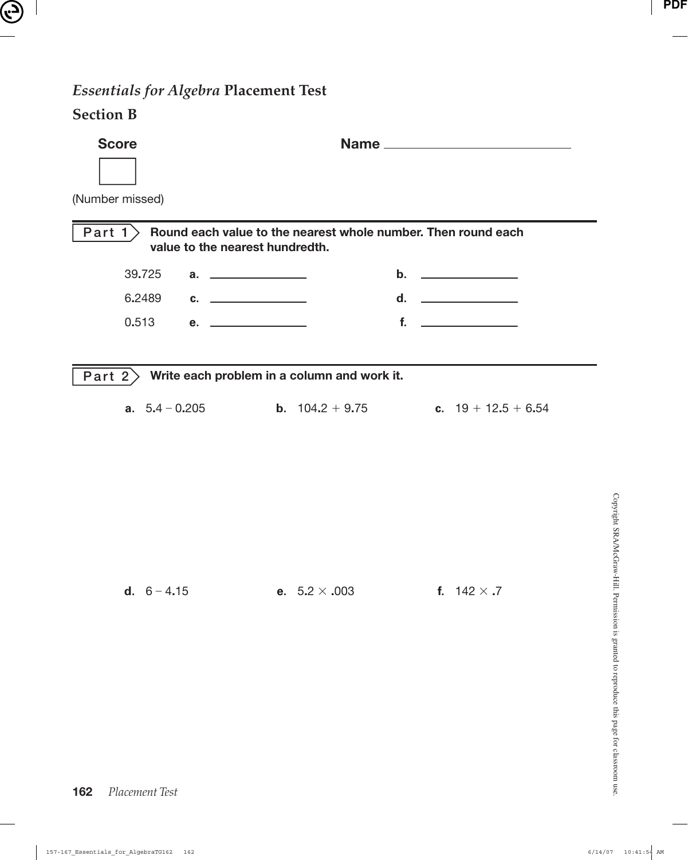# *Essentials for Algebra* **Placement Test**

### **Section B**

| <b>Score</b>                                                                                                 |                          |                                                  |  |  |  |  |  |  |  |
|--------------------------------------------------------------------------------------------------------------|--------------------------|--------------------------------------------------|--|--|--|--|--|--|--|
| (Number missed)                                                                                              |                          |                                                  |  |  |  |  |  |  |  |
| Part $1$<br>Round each value to the nearest whole number. Then round each<br>value to the nearest hundredth. |                          |                                                  |  |  |  |  |  |  |  |
| 39.725                                                                                                       |                          |                                                  |  |  |  |  |  |  |  |
| 6.2489<br>$c.$ $\qquad \qquad$                                                                               |                          | d. ______________                                |  |  |  |  |  |  |  |
| 0.513<br>e. _______________                                                                                  |                          | $f_{\rm{r}}$<br><u> The Common School (1989)</u> |  |  |  |  |  |  |  |
| $\overline{Part 2}$ Write each problem in a column and work it.<br><b>a.</b> $5.4 - 0.205$                   | <b>b.</b> $104.2 + 9.75$ | c. $19 + 12.5 + 6.54$                            |  |  |  |  |  |  |  |
|                                                                                                              |                          |                                                  |  |  |  |  |  |  |  |
| d. $6 - 4.15$                                                                                                | e. $5.2 \times .003$     | f. $142 \times .7$                               |  |  |  |  |  |  |  |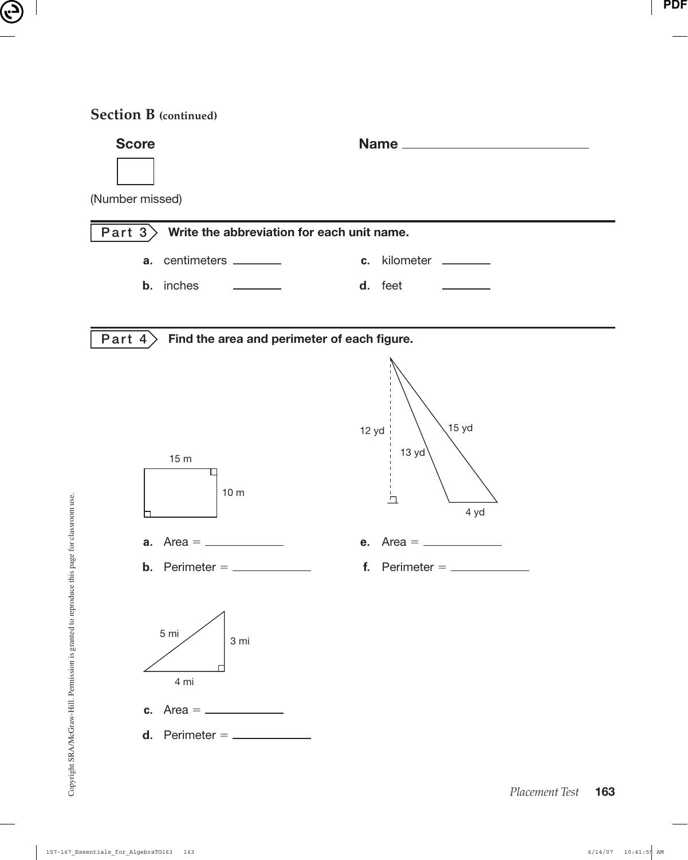#### **Section B (continued)**

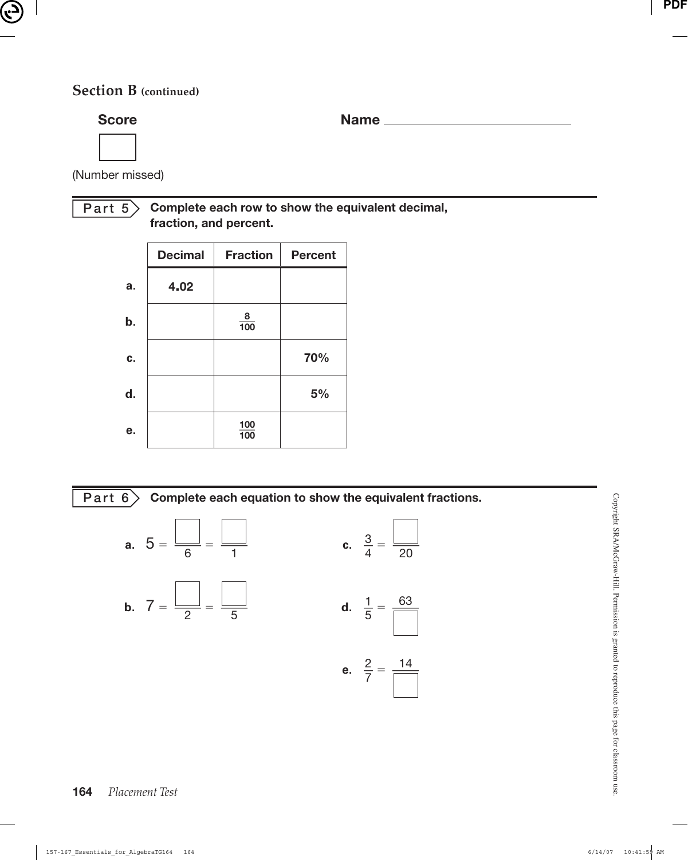### **Section B (continued)**

**Score Name Name Name Name Name Name Name Name Name Name Name Name Name Name Name Name Name Name Name N** 

(Number missed)

#### **Part 5 Complete each row to show the equivalent decimal, fraction, and percent.**

|    | <b>Decimal</b> | <b>Fraction</b> | <b>Percent</b> |
|----|----------------|-----------------|----------------|
| a. | 4.02           |                 |                |
| b. |                | $\frac{8}{100}$ |                |
| C. |                |                 | 70%            |
| d. |                |                 | 5%             |
| е. |                | 100<br>100      |                |



**a.** 
$$
5 = \frac{1}{6} = \frac{1}{1}
$$
  
\n**b.**  $7 = \frac{1}{2} = \frac{1}{5}$   
\n**c.**  $\frac{3}{4} = \frac{1}{20}$   
\n**d.**  $\frac{1}{5} = \frac{63}{1}$   
\n**e.**  $\frac{2}{7} = \frac{14}{1}$ 

Copyright SRA/McGraw-Hill. Permission is granted to reproduce this page for classroom use. Copyright SRA/McGraw-Hill. Permission is granted to reproduce this page for classroom use.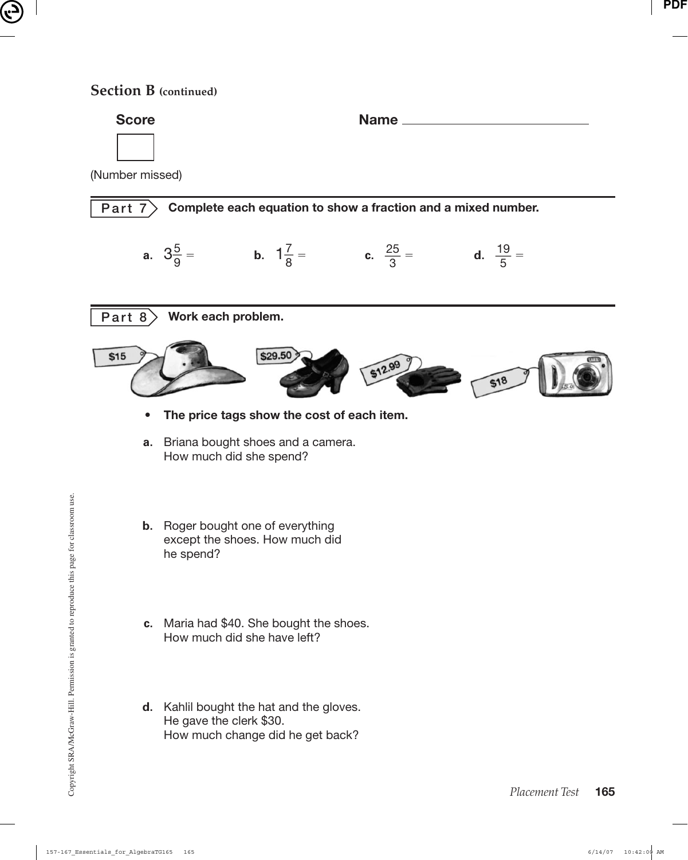#### **Section B (continued)**



 **d.** Kahlil bought the hat and the gloves. He gave the clerk \$30. How much change did he get back?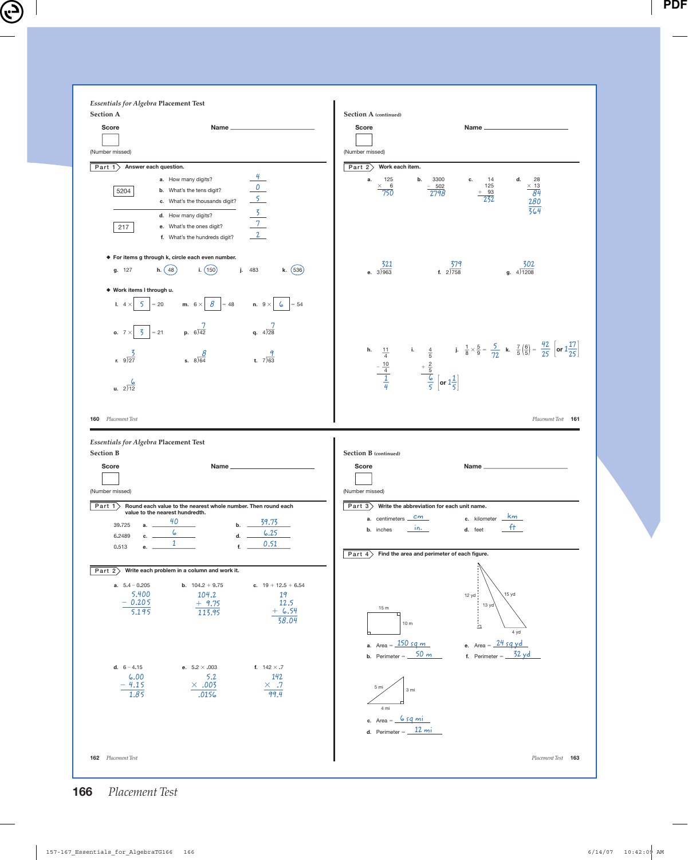